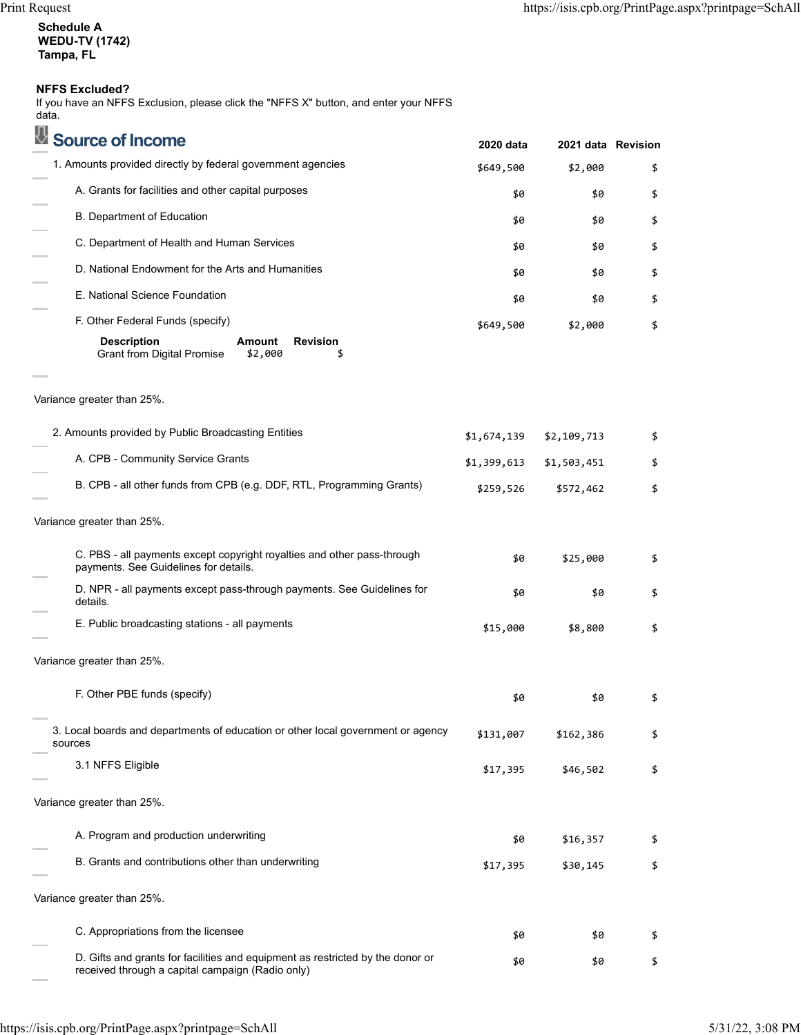**Schedule A WEDU-TV (1742) Tampa, FL**

## **NFFS Excluded?**

If you have an NFFS Exclusion, please click the "NFFS X" button, and enter your NFFS data.

| Source of Income                                                                                                                   | 2020 data   | 2021 data Revision |    |
|------------------------------------------------------------------------------------------------------------------------------------|-------------|--------------------|----|
| 1. Amounts provided directly by federal government agencies                                                                        | \$649,500   | \$2,000            | \$ |
| A. Grants for facilities and other capital purposes                                                                                | \$0         | \$0                | \$ |
| B. Department of Education                                                                                                         | \$0         | \$0                | \$ |
| C. Department of Health and Human Services                                                                                         | \$0         | \$0                | \$ |
| D. National Endowment for the Arts and Humanities                                                                                  | \$0         | \$0                | \$ |
| E. National Science Foundation                                                                                                     | \$0         | \$0                | \$ |
| F. Other Federal Funds (specify)                                                                                                   | \$649,500   | \$2,000            | \$ |
| <b>Description</b><br><b>Revision</b><br>Amount<br><b>Grant from Digital Promise</b><br>\$2,000<br>\$                              |             |                    |    |
| Variance greater than 25%.                                                                                                         |             |                    |    |
| 2. Amounts provided by Public Broadcasting Entities                                                                                | \$1,674,139 | \$2,109,713        | \$ |
| A. CPB - Community Service Grants                                                                                                  | \$1,399,613 | \$1,503,451        | \$ |
| B. CPB - all other funds from CPB (e.g. DDF, RTL, Programming Grants)                                                              | \$259,526   | \$572,462          | \$ |
| Variance greater than 25%.                                                                                                         |             |                    |    |
| C. PBS - all payments except copyright royalties and other pass-through<br>payments. See Guidelines for details.                   | \$0         | \$25,000           | \$ |
| D. NPR - all payments except pass-through payments. See Guidelines for<br>details.                                                 | \$0         | \$0                | \$ |
| E. Public broadcasting stations - all payments                                                                                     | \$15,000    | \$8,800            | \$ |
| Variance greater than 25%.                                                                                                         |             |                    |    |
| F. Other PBE funds (specify)                                                                                                       | \$0         | \$0                | \$ |
| 3. Local boards and departments of education or other local government or agency<br>sources                                        | \$131,007   | \$162,386          | \$ |
| 3.1 NFFS Eligible                                                                                                                  | \$17,395    | \$46,502           | \$ |
| Variance greater than 25%.                                                                                                         |             |                    |    |
| A. Program and production underwriting                                                                                             | \$0         | \$16,357           | \$ |
| B. Grants and contributions other than underwriting                                                                                | \$17,395    | \$30,145           | \$ |
| Variance greater than 25%.                                                                                                         |             |                    |    |
| C. Appropriations from the licensee                                                                                                | \$0         | \$0                | \$ |
| D. Gifts and grants for facilities and equipment as restricted by the donor or<br>received through a capital campaign (Radio only) | \$0         | \$0                | \$ |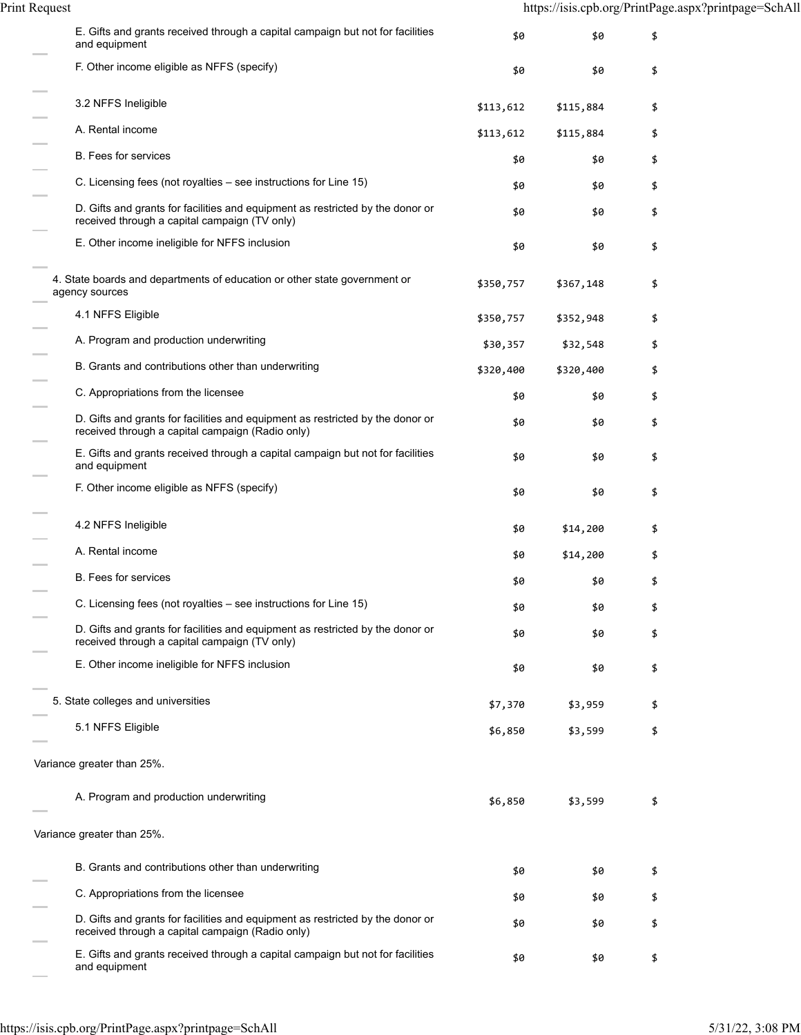Print Request https://isis.cpb.org/PrintPage.aspx?printpage=SchAll

| E. Gifts and grants received through a capital campaign but not for facilities<br>and equipment                                    | \$0       | \$0       | \$ |
|------------------------------------------------------------------------------------------------------------------------------------|-----------|-----------|----|
| F. Other income eligible as NFFS (specify)                                                                                         | \$0       | \$0       | \$ |
| 3.2 NFFS Ineligible                                                                                                                | \$113,612 | \$115,884 | \$ |
| A. Rental income                                                                                                                   | \$113,612 | \$115,884 | \$ |
| <b>B.</b> Fees for services                                                                                                        | \$0       | \$0       | \$ |
| C. Licensing fees (not royalties – see instructions for Line 15)                                                                   | \$0       | \$0       | \$ |
| D. Gifts and grants for facilities and equipment as restricted by the donor or<br>received through a capital campaign (TV only)    | \$0       | \$0       | \$ |
| E. Other income ineligible for NFFS inclusion                                                                                      | \$0       | \$0       | \$ |
| 4. State boards and departments of education or other state government or<br>agency sources                                        | \$350,757 | \$367,148 | \$ |
| 4.1 NFFS Eligible                                                                                                                  | \$350,757 | \$352,948 |    |
| A. Program and production underwriting                                                                                             | \$30,357  | \$32,548  | \$ |
| B. Grants and contributions other than underwriting                                                                                | \$320,400 | \$320,400 | \$ |
| C. Appropriations from the licensee                                                                                                | \$0       | \$0       | \$ |
| D. Gifts and grants for facilities and equipment as restricted by the donor or<br>received through a capital campaign (Radio only) | \$0       | \$0       | \$ |
| E. Gifts and grants received through a capital campaign but not for facilities<br>and equipment                                    | \$0       | \$0       |    |
| F. Other income eligible as NFFS (specify)                                                                                         | \$0       | \$0       | \$ |
| 4.2 NFFS Ineligible                                                                                                                | \$0       | \$14,200  | \$ |
| A. Rental income                                                                                                                   | \$0       | \$14,200  | \$ |
| <b>B.</b> Fees for services                                                                                                        | \$0       | \$0       |    |
| C. Licensing fees (not royalties – see instructions for Line 15)                                                                   | \$0       | \$0       | ቕ  |
| D. Gifts and grants for facilities and equipment as restricted by the donor or<br>received through a capital campaign (TV only)    | \$0       | \$0       | S  |
| E. Other income ineligible for NFFS inclusion                                                                                      | \$0       | \$0       | \$ |
| 5. State colleges and universities                                                                                                 | \$7,370   | \$3,959   | \$ |
| 5.1 NFFS Eligible                                                                                                                  | \$6,850   | \$3,599   | \$ |
| Variance greater than 25%.                                                                                                         |           |           |    |
| A. Program and production underwriting                                                                                             | \$6,850   | \$3,599   | \$ |
| Variance greater than 25%.                                                                                                         |           |           |    |
| B. Grants and contributions other than underwriting                                                                                | \$0       | \$0       | \$ |
| C. Appropriations from the licensee                                                                                                | \$0       | \$0       | \$ |
| D. Gifts and grants for facilities and equipment as restricted by the donor or<br>received through a capital campaign (Radio only) | \$0       | \$0       | \$ |
| E. Gifts and grants received through a capital campaign but not for facilities<br>and equipment                                    | \$0       | \$0       | \$ |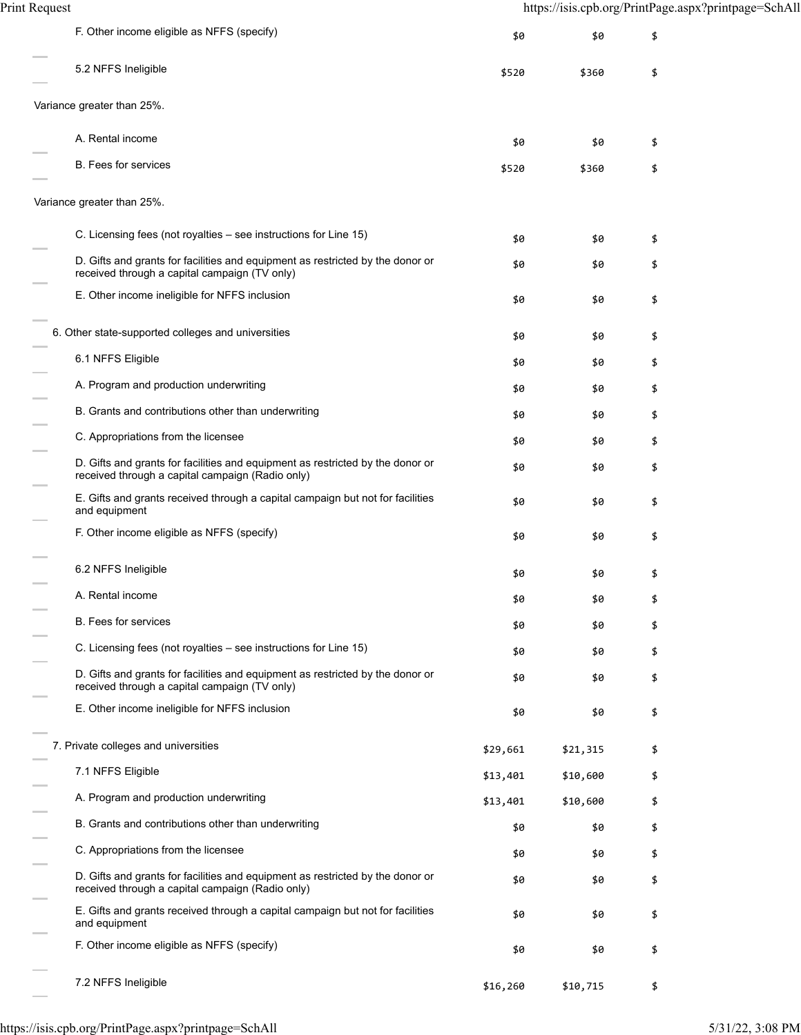| F. Other income eligible as NFFS (specify)                                                                                         | \$0      | \$0      | \$ |
|------------------------------------------------------------------------------------------------------------------------------------|----------|----------|----|
| 5.2 NFFS Ineligible                                                                                                                | \$520    | \$360    | \$ |
| Variance greater than 25%.                                                                                                         |          |          |    |
| A. Rental income                                                                                                                   | \$0      | \$0      | \$ |
| B. Fees for services                                                                                                               | \$520    | \$360    | \$ |
| Variance greater than 25%.                                                                                                         |          |          |    |
| C. Licensing fees (not royalties – see instructions for Line 15)                                                                   | \$0      | \$0      | \$ |
| D. Gifts and grants for facilities and equipment as restricted by the donor or<br>received through a capital campaign (TV only)    | \$0      | \$0      | \$ |
| E. Other income ineligible for NFFS inclusion                                                                                      | \$0      | \$0      | \$ |
| 6. Other state-supported colleges and universities                                                                                 | \$0      | \$0      | \$ |
| 6.1 NFFS Eligible                                                                                                                  | \$0      | \$0      | \$ |
| A. Program and production underwriting                                                                                             | \$0      | \$0      | \$ |
| B. Grants and contributions other than underwriting                                                                                | \$0      | \$0      | \$ |
| C. Appropriations from the licensee                                                                                                | \$0      | \$0      | \$ |
| D. Gifts and grants for facilities and equipment as restricted by the donor or<br>received through a capital campaign (Radio only) | \$0      | \$0      | \$ |
| E. Gifts and grants received through a capital campaign but not for facilities<br>and equipment                                    | \$0      | \$0      | \$ |
| F. Other income eligible as NFFS (specify)                                                                                         | \$0      | \$0      | \$ |
| 6.2 NFFS Ineligible                                                                                                                | \$0      | \$0      | \$ |
| A. Rental income                                                                                                                   | \$0      | \$0      | \$ |
| B. Fees for services                                                                                                               | \$0      | \$0      | \$ |
| C. Licensing fees (not royalties – see instructions for Line 15)                                                                   | \$0      | \$0      | \$ |
| D. Gifts and grants for facilities and equipment as restricted by the donor or<br>received through a capital campaign (TV only)    | \$0      | \$0      | \$ |
| E. Other income ineligible for NFFS inclusion                                                                                      | \$0      | \$0      | \$ |
| 7. Private colleges and universities                                                                                               | \$29,661 | \$21,315 | \$ |
| 7.1 NFFS Eligible                                                                                                                  | \$13,401 | \$10,600 | \$ |
| A. Program and production underwriting                                                                                             | \$13,401 | \$10,600 | \$ |
| B. Grants and contributions other than underwriting                                                                                | \$0      | \$0      | \$ |
| C. Appropriations from the licensee                                                                                                | \$0      | \$0      | \$ |
| D. Gifts and grants for facilities and equipment as restricted by the donor or<br>received through a capital campaign (Radio only) | \$0      | \$0      | \$ |
| E. Gifts and grants received through a capital campaign but not for facilities<br>and equipment                                    | \$0      | \$0      | \$ |
| F. Other income eligible as NFFS (specify)                                                                                         | \$0      | \$0      | \$ |
| 7.2 NFFS Ineligible                                                                                                                | \$16,260 | \$10,715 | \$ |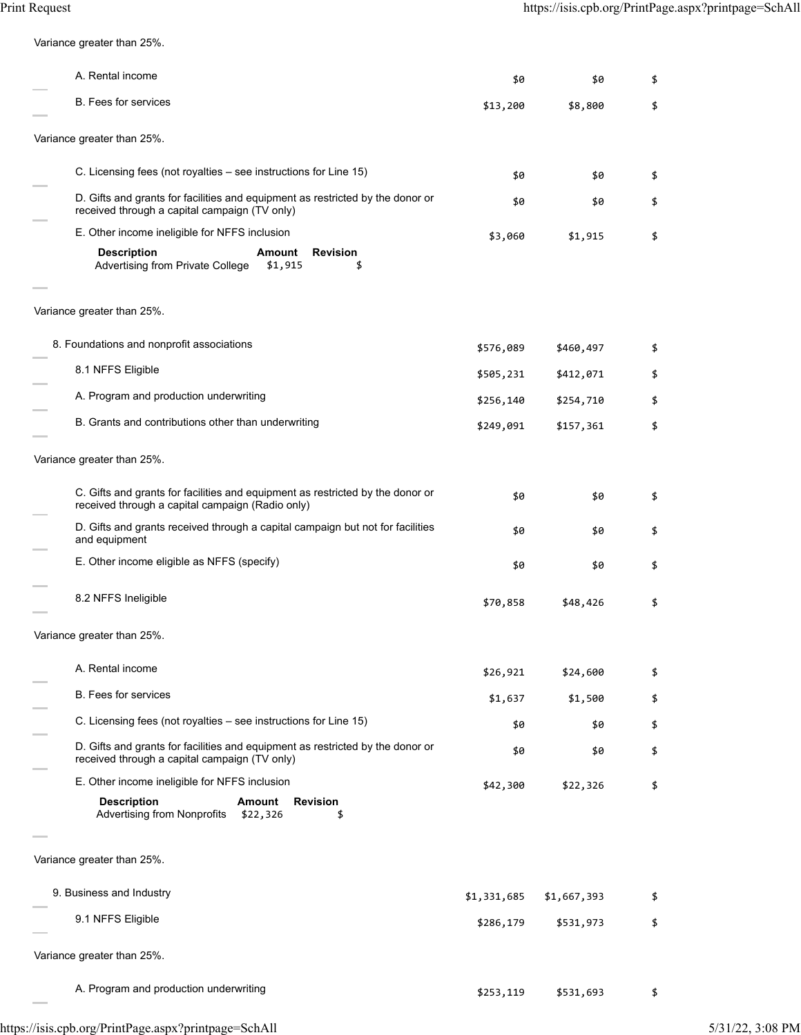Variance greater than 25%.

| A. Rental income                                                                                                                   | \$0         | \$0         | \$ |
|------------------------------------------------------------------------------------------------------------------------------------|-------------|-------------|----|
| <b>B.</b> Fees for services                                                                                                        | \$13,200    | \$8,800     | \$ |
| Variance greater than 25%.                                                                                                         |             |             |    |
| C. Licensing fees (not royalties – see instructions for Line 15)                                                                   | \$0         | \$0         | \$ |
| D. Gifts and grants for facilities and equipment as restricted by the donor or<br>received through a capital campaign (TV only)    | \$0         | \$0         | \$ |
| E. Other income ineligible for NFFS inclusion                                                                                      | \$3,060     | \$1,915     | \$ |
| <b>Description</b><br><b>Revision</b><br>Amount<br>Advertising from Private College<br>\$1,915                                     |             |             |    |
| Variance greater than 25%.                                                                                                         |             |             |    |
| 8. Foundations and nonprofit associations                                                                                          |             |             |    |
| 8.1 NFFS Eligible                                                                                                                  | \$576,089   | \$460,497   | \$ |
| A. Program and production underwriting                                                                                             | \$505,231   | \$412,071   | \$ |
| B. Grants and contributions other than underwriting                                                                                | \$256,140   | \$254,710   | \$ |
|                                                                                                                                    | \$249,091   | \$157,361   | \$ |
| Variance greater than 25%.                                                                                                         |             |             |    |
| C. Gifts and grants for facilities and equipment as restricted by the donor or<br>received through a capital campaign (Radio only) | \$0         | \$0         | \$ |
| D. Gifts and grants received through a capital campaign but not for facilities<br>and equipment                                    | \$0         | \$0         | \$ |
| E. Other income eligible as NFFS (specify)                                                                                         | \$0         | \$0         | \$ |
| 8.2 NFFS Ineligible                                                                                                                | \$70,858    | \$48,426    | \$ |
| Variance greater than 25%.                                                                                                         |             |             |    |
| A. Rental income                                                                                                                   | \$26,921    | \$24,600    | \$ |
| <b>B.</b> Fees for services                                                                                                        | \$1,637     | \$1,500     | \$ |
| C. Licensing fees (not royalties – see instructions for Line 15)                                                                   | \$0         | \$0         | \$ |
| D. Gifts and grants for facilities and equipment as restricted by the donor or<br>received through a capital campaign (TV only)    | \$0         | \$0         | \$ |
| E. Other income ineligible for NFFS inclusion                                                                                      | \$42,300    | \$22,326    | \$ |
| <b>Description</b><br><b>Amount</b><br><b>Revision</b><br><b>Advertising from Nonprofits</b><br>\$22,326<br>\$                     |             |             |    |
| Variance greater than 25%.                                                                                                         |             |             |    |
| 9. Business and Industry                                                                                                           | \$1,331,685 | \$1,667,393 | \$ |
| 9.1 NFFS Eligible                                                                                                                  | \$286,179   | \$531,973   | \$ |
|                                                                                                                                    |             |             |    |
| Variance greater than 25%.                                                                                                         |             |             |    |
| A. Program and production underwriting                                                                                             | \$253,119   | \$531,693   | \$ |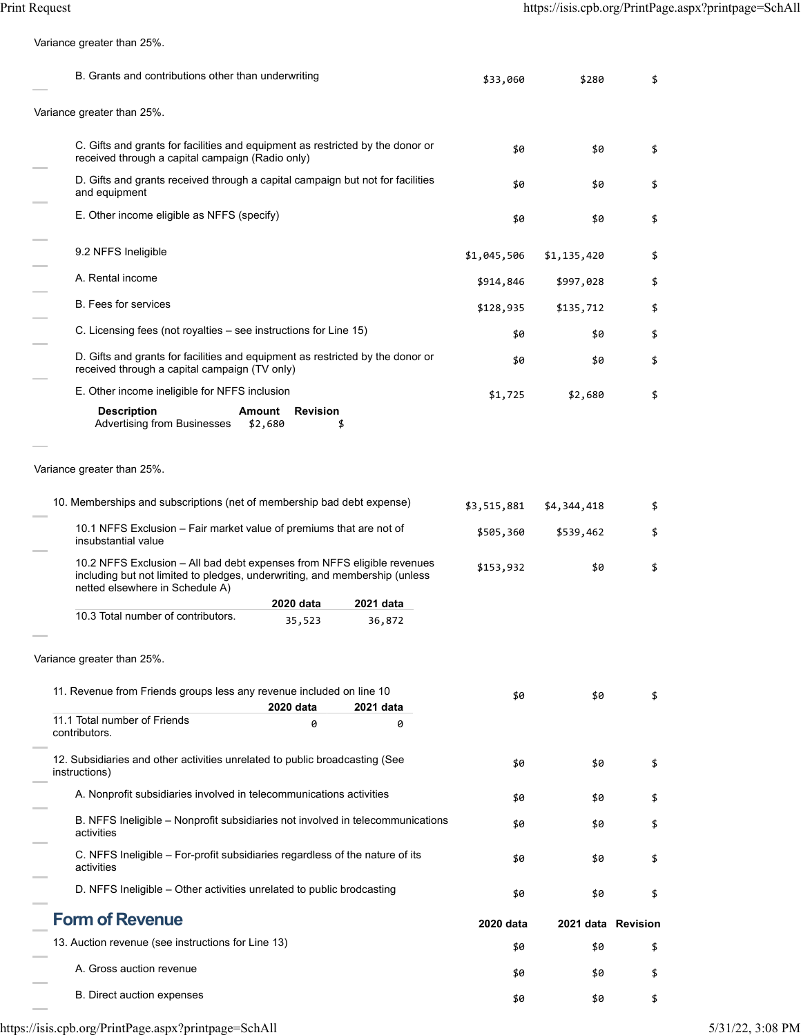Variance greater than 25%.

| B. Grants and contributions other than underwriting                                                                                                                                      | \$33,060    | \$280              | \$ |
|------------------------------------------------------------------------------------------------------------------------------------------------------------------------------------------|-------------|--------------------|----|
| Variance greater than 25%.                                                                                                                                                               |             |                    |    |
| C. Gifts and grants for facilities and equipment as restricted by the donor or<br>received through a capital campaign (Radio only)                                                       | \$0         | \$0                | \$ |
| D. Gifts and grants received through a capital campaign but not for facilities<br>and equipment                                                                                          | \$0         | \$0                | \$ |
| E. Other income eligible as NFFS (specify)                                                                                                                                               | \$0         | \$0                | \$ |
| 9.2 NFFS Ineligible                                                                                                                                                                      | \$1,045,506 | \$1,135,420        | \$ |
| A. Rental income                                                                                                                                                                         | \$914,846   | \$997,028          | \$ |
| <b>B.</b> Fees for services                                                                                                                                                              | \$128,935   | \$135,712          | \$ |
| C. Licensing fees (not royalties – see instructions for Line 15)                                                                                                                         | \$0         | \$0                | \$ |
| D. Gifts and grants for facilities and equipment as restricted by the donor or<br>received through a capital campaign (TV only)                                                          | \$0         | \$0                | \$ |
| E. Other income ineligible for NFFS inclusion                                                                                                                                            | \$1,725     | \$2,680            | \$ |
| <b>Description</b><br><b>Revision</b><br><b>Amount</b><br><b>Advertising from Businesses</b><br>\$2,680<br>\$                                                                            |             |                    |    |
| 10. Memberships and subscriptions (net of membership bad debt expense)                                                                                                                   | \$3,515,881 | \$4,344,418        | \$ |
| 10.1 NFFS Exclusion - Fair market value of premiums that are not of                                                                                                                      | \$505,360   | \$539,462          | \$ |
| insubstantial value                                                                                                                                                                      |             |                    |    |
| 10.2 NFFS Exclusion - All bad debt expenses from NFFS eligible revenues<br>including but not limited to pledges, underwriting, and membership (unless<br>netted elsewhere in Schedule A) | \$153,932   | \$0                | \$ |
| 2020 data<br>2021 data<br>10.3 Total number of contributors.                                                                                                                             |             |                    |    |
| 35,523<br>36,872<br>Variance greater than 25%.                                                                                                                                           |             |                    |    |
| 11. Revenue from Friends groups less any revenue included on line 10<br>2020 data<br>2021 data                                                                                           | \$0         | \$0                | \$ |
| 11.1 Total number of Friends<br>0<br>contributors.                                                                                                                                       | 0           |                    |    |
| 12. Subsidiaries and other activities unrelated to public broadcasting (See<br>instructions)                                                                                             | \$0         | \$0                | \$ |
| A. Nonprofit subsidiaries involved in telecommunications activities                                                                                                                      | \$0         | \$0                | \$ |
| B. NFFS Ineligible – Nonprofit subsidiaries not involved in telecommunications<br>activities                                                                                             | \$0         | \$0                | \$ |
| C. NFFS Ineligible - For-profit subsidiaries regardless of the nature of its<br>activities                                                                                               | \$0         | \$0                | \$ |
| D. NFFS Ineligible - Other activities unrelated to public brodcasting                                                                                                                    | \$0         | \$0                | \$ |
| <b>Form of Revenue</b>                                                                                                                                                                   | 2020 data   | 2021 data Revision |    |
| 13. Auction revenue (see instructions for Line 13)                                                                                                                                       | \$0         | \$0                | \$ |
| A. Gross auction revenue                                                                                                                                                                 | \$0         | \$0                | \$ |
| B. Direct auction expenses                                                                                                                                                               | \$0         | \$0                | \$ |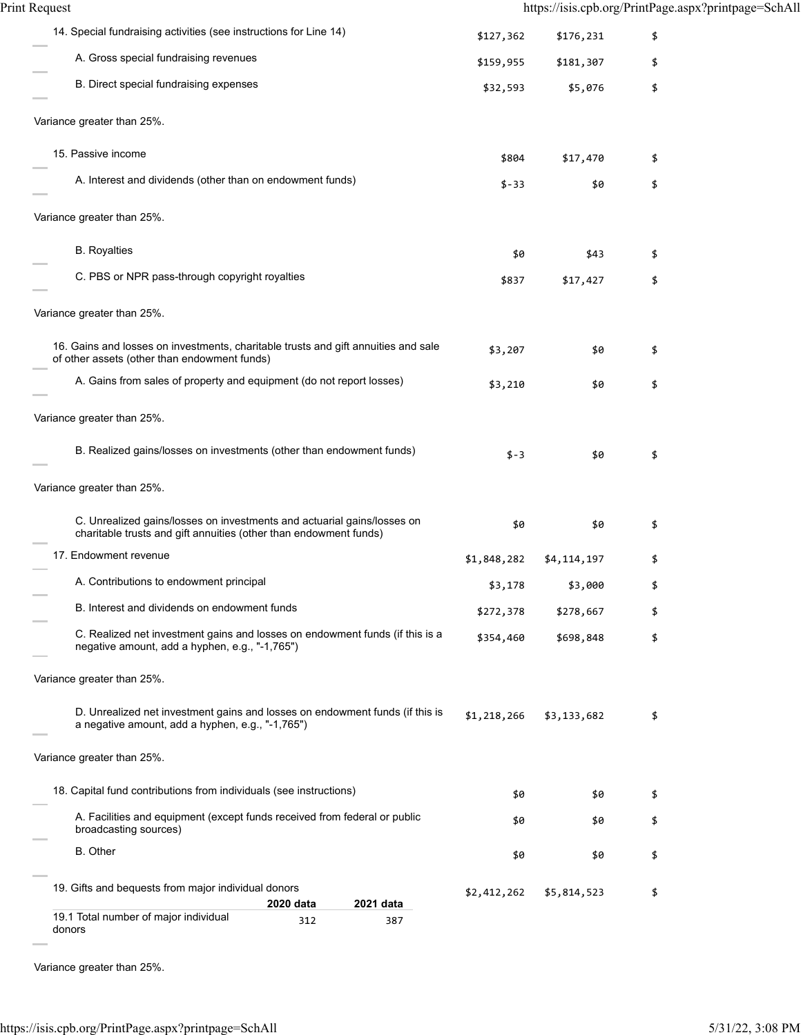14. Special fundraising activities (see instructions for Line 14)  $$127,362$  \$176,231 \$ A. Gross special fundraising revenues  $$159,955$   $$181,307$  \$ B. Direct special fundraising expenses  $$32,593$  \$5,076 \$ Variance greater than 25%. 15. Passive income \$804 \$17,470 \$ A. Interest and dividends (other than on endowment funds)  $\begin{array}{ccc} \text{5-33} & \text{50} & \text{5} \\ \end{array}$ Variance greater than 25%. B. Royalties  $$43$   $$43$ C. PBS or NPR pass-through copyright royalties  $$37$  \$17,427  $$$ Variance greater than 25%. 16. Gains and losses on investments, charitable trusts and gift annuities and sale \$0 \$<br>of other assets (other than endowment funds) A. Gains from sales of property and equipment (do not report losses)  $$3,210$   $$9$   $$9$ Variance greater than 25%. B. Realized gains/losses on investments (other than endowment funds)  $\frac{1}{2}$ -3  $\frac{1}{20}$  \$ Variance greater than 25%. C. Unrealized gains/losses on investments and actuarial gains/losses on C. Unrealized gains/losses on investments and actuarial gains/losses on  $\mathfrak{so}$   $\mathfrak{so}$   $\mathfrak{so}$   $\mathfrak{so}$   $\mathfrak{so}$ 17. Endowment revenue \$1,848,282 \$4,114,197 \$ A. Contributions to endowment principal  $$3,178$  \$3,000 \$ B. Interest and dividends on endowment funds <br>\$272,378 \$278,667 \$ C. Realized net investment gains and losses on endowment funds (if this is a C. Realized net investment gains and losses on endowment funds (if this is a  $$354,460$   $$698,848$   $$698,848$   $$698,848$ Variance greater than 25%. D. Unrealized net investment gains and losses on endowment funds (if this is D. Unrealized het investment gains and losses on endowment funds (if this is  $$1,218,266 $3,133,682 $$   $$\,\$$  a negative amount, add a hyphen, e.g., "-1,765") Variance greater than 25%. 18. Capital fund contributions from individuals (see instructions)  $\qquad \qquad$  \$0 \$ A. Facilities and equipment (except funds received from federal or public \$0 \$<br>broadcasting sources) B. Other  $$9$  \$0  $$5$ 19. Gifts and bequests from major individual donors **2020 data 2021 data** 19.1 Total number of major individual 312 387 \$2,412,262 \$5,814,523 \$ Print Request https://isis.cpb.org/PrintPage.aspx?printpage=SchAll

Variance greater than 25%.

donors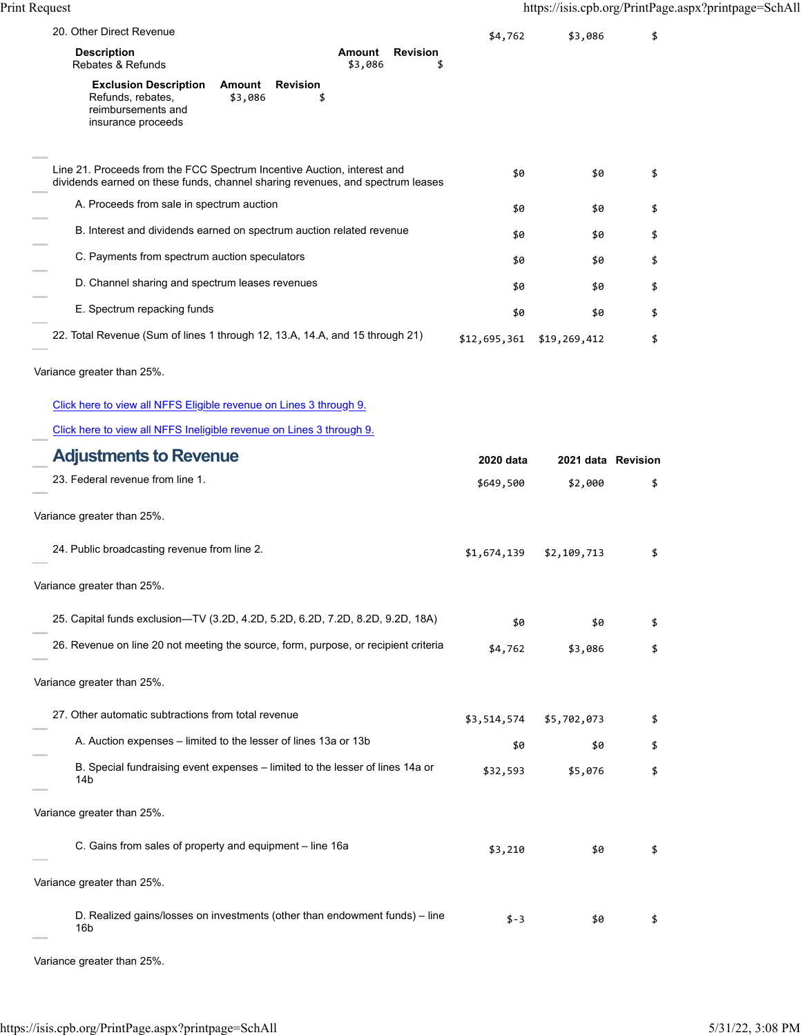| 20. Other Direct Revenue                                                                                                                                  | \$4,762      | \$3,086            | \$ |
|-----------------------------------------------------------------------------------------------------------------------------------------------------------|--------------|--------------------|----|
| <b>Revision</b><br><b>Description</b><br>Amount<br>Rebates & Refunds<br>\$3,086<br>\$                                                                     |              |                    |    |
| <b>Revision</b><br><b>Exclusion Description</b><br>Amount<br>\$3,086<br>Refunds, rebates,<br>\$<br>reimbursements and<br>insurance proceeds               |              |                    |    |
| Line 21. Proceeds from the FCC Spectrum Incentive Auction, interest and<br>dividends earned on these funds, channel sharing revenues, and spectrum leases | \$0          | \$0                | \$ |
| A. Proceeds from sale in spectrum auction                                                                                                                 | \$0          | \$0                | \$ |
| B. Interest and dividends earned on spectrum auction related revenue                                                                                      | \$0          | \$0                | \$ |
| C. Payments from spectrum auction speculators                                                                                                             | \$0          | \$0                | \$ |
| D. Channel sharing and spectrum leases revenues                                                                                                           | \$0          | \$0                | \$ |
| E. Spectrum repacking funds                                                                                                                               | \$0          | \$0                | \$ |
| 22. Total Revenue (Sum of lines 1 through 12, 13.A, 14.A, and 15 through 21)                                                                              | \$12,695,361 | \$19,269,412       | \$ |
| Variance greater than 25%.                                                                                                                                |              |                    |    |
| Click here to view all NFFS Eligible revenue on Lines 3 through 9.                                                                                        |              |                    |    |
| Click here to view all NFFS Ineligible revenue on Lines 3 through 9.                                                                                      |              |                    |    |
| <b>Adjustments to Revenue</b>                                                                                                                             | 2020 data    | 2021 data Revision |    |
| 23. Federal revenue from line 1.                                                                                                                          | \$649,500    | \$2,000            | \$ |
| Variance greater than 25%.                                                                                                                                |              |                    |    |
| 24. Public broadcasting revenue from line 2.                                                                                                              | \$1,674,139  | \$2,109,713        | \$ |
| Variance greater than 25%.                                                                                                                                |              |                    |    |
| 25. Capital funds exclusion-TV (3.2D, 4.2D, 5.2D, 6.2D, 7.2D, 8.2D, 9.2D, 18A)                                                                            | \$0          | \$0                | \$ |
| 26. Revenue on line 20 not meeting the source, form, purpose, or recipient criteria                                                                       | \$4,762      | \$3,086            | \$ |
| Variance greater than 25%.                                                                                                                                |              |                    |    |
| 27. Other automatic subtractions from total revenue                                                                                                       | \$3,514,574  | \$5,702,073        | \$ |
| A. Auction expenses – limited to the lesser of lines 13a or 13b                                                                                           | \$0          | \$0                | \$ |
| B. Special fundraising event expenses – limited to the lesser of lines 14a or<br>14b                                                                      | \$32,593     | \$5,076            | \$ |
| Variance greater than 25%.                                                                                                                                |              |                    |    |
| C. Gains from sales of property and equipment – line 16a                                                                                                  | \$3,210      | \$0                | \$ |
| Variance greater than 25%.                                                                                                                                |              |                    |    |
| D. Realized gains/losses on investments (other than endowment funds) – line<br>16b                                                                        | \$-3         | \$0                | \$ |
| Variance greater than 25%.                                                                                                                                |              |                    |    |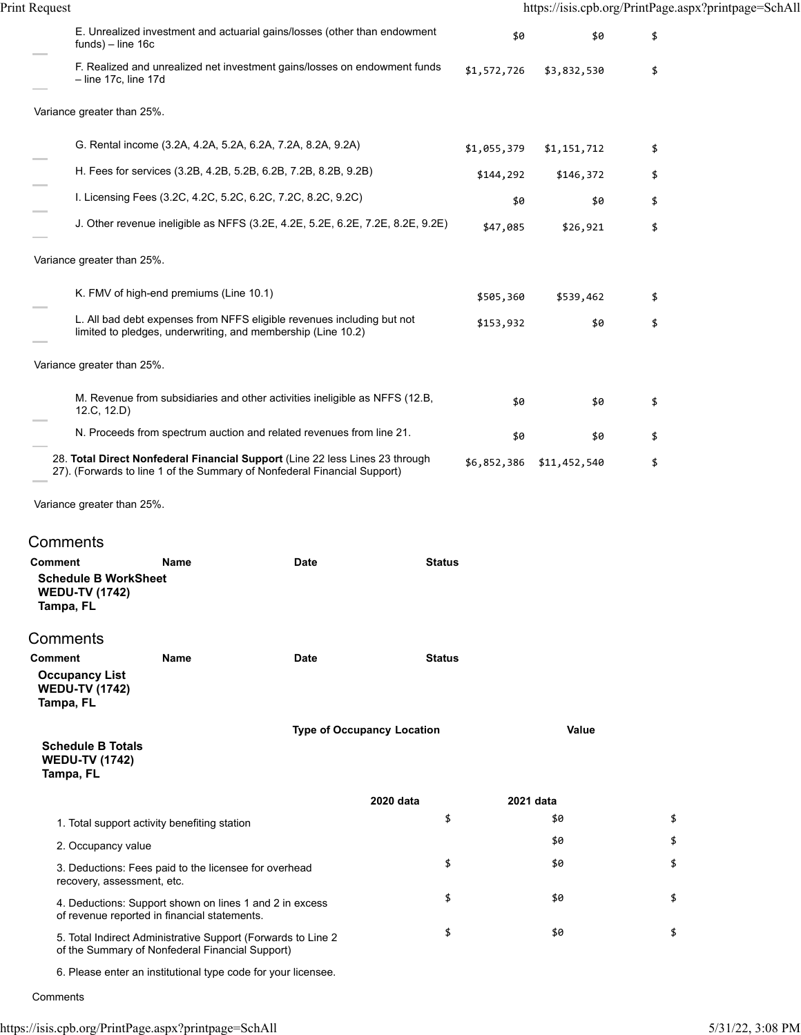| Print Request |                                                                                                                                                          |             |                          | https://isis.cpb.org/PrintPage.aspx?printpage=SchAll |
|---------------|----------------------------------------------------------------------------------------------------------------------------------------------------------|-------------|--------------------------|------------------------------------------------------|
|               | E. Unrealized investment and actuarial gains/losses (other than endowment<br>$funds$ ) – line 16c                                                        | \$0         | \$0                      | \$                                                   |
|               | F. Realized and unrealized net investment gains/losses on endowment funds<br>$-$ line 17c, line 17d                                                      | \$1,572,726 | \$3,832,530              | \$                                                   |
|               | Variance greater than 25%.                                                                                                                               |             |                          |                                                      |
|               | G. Rental income (3.2A, 4.2A, 5.2A, 6.2A, 7.2A, 8.2A, 9.2A)                                                                                              | \$1,055,379 | \$1,151,712              | \$                                                   |
|               | H. Fees for services (3.2B, 4.2B, 5.2B, 6.2B, 7.2B, 8.2B, 9.2B)                                                                                          | \$144,292   | \$146,372                | \$                                                   |
|               | I. Licensing Fees (3.2C, 4.2C, 5.2C, 6.2C, 7.2C, 8.2C, 9.2C)                                                                                             | \$0         | \$0                      | \$                                                   |
|               | J. Other revenue ineligible as NFFS (3.2E, 4.2E, 5.2E, 6.2E, 7.2E, 8.2E, 9.2E)                                                                           | \$47,085    | \$26,921                 | \$                                                   |
|               | Variance greater than 25%.                                                                                                                               |             |                          |                                                      |
|               | K. FMV of high-end premiums (Line 10.1)                                                                                                                  | \$505,360   | \$539,462                | \$                                                   |
|               | L. All bad debt expenses from NFFS eligible revenues including but not<br>limited to pledges, underwriting, and membership (Line 10.2)                   | \$153,932   | \$0                      | \$                                                   |
|               | Variance greater than 25%.                                                                                                                               |             |                          |                                                      |
|               | M. Revenue from subsidiaries and other activities ineligible as NFFS (12.B,<br>12.C, 12.D)                                                               | \$0         | \$0                      | \$                                                   |
|               | N. Proceeds from spectrum auction and related revenues from line 21.                                                                                     | \$0         | \$0                      | \$                                                   |
|               | 28. Total Direct Nonfederal Financial Support (Line 22 less Lines 23 through<br>27). (Forwards to line 1 of the Summary of Nonfederal Financial Support) |             | \$6,852,386 \$11,452,540 | \$                                                   |

**Comments** 

| <b>Comment</b><br><b>Schedule B WorkSheet</b><br><b>WEDU-TV (1742)</b><br>Tampa, FL | <b>Name</b> | <b>Date</b>                                                   | <b>Status</b>                     |           |    |
|-------------------------------------------------------------------------------------|-------------|---------------------------------------------------------------|-----------------------------------|-----------|----|
| Comments                                                                            |             |                                                               |                                   |           |    |
| Comment<br><b>Occupancy List</b><br><b>WEDU-TV (1742)</b><br>Tampa, FL              | <b>Name</b> | <b>Date</b>                                                   | <b>Status</b>                     |           |    |
| <b>Schedule B Totals</b><br><b>WEDU-TV (1742)</b><br>Tampa, FL                      |             |                                                               | <b>Type of Occupancy Location</b> | Value     |    |
|                                                                                     |             |                                                               | 2020 data                         | 2021 data |    |
| 1. Total support activity benefiting station                                        |             |                                                               | \$                                | \$0       | \$ |
| 2. Occupancy value                                                                  |             |                                                               |                                   | \$0       | \$ |
| 3. Deductions: Fees paid to the licensee for overhead<br>recovery, assessment, etc. |             |                                                               | \$                                | \$0       | \$ |
| of revenue reported in financial statements.                                        |             | 4. Deductions: Support shown on lines 1 and 2 in excess       | \$                                | \$0       | \$ |
| of the Summary of Nonfederal Financial Support)                                     |             | 5. Total Indirect Administrative Support (Forwards to Line 2  | \$                                | \$0       | \$ |
|                                                                                     |             | 6. Please enter an institutional type code for your licensee. |                                   |           |    |

Comments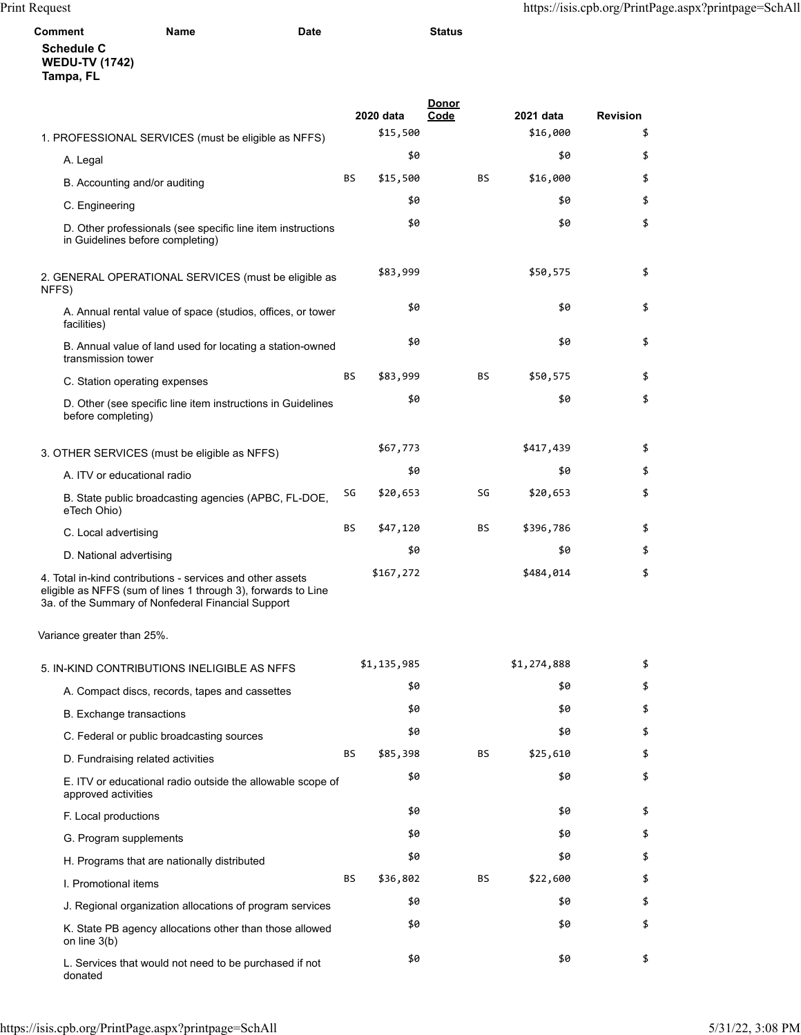| Comment                                                 | Name | <b>Date</b> | <b>Status</b> |  |
|---------------------------------------------------------|------|-------------|---------------|--|
| <b>Schedule C</b><br><b>WEDU-TV (1742)</b><br>Tampa, FL |      |             |               |  |
|                                                         |      |             | <b>Donor</b>  |  |

|                                                                                                                                                                                   |           | 2020 data   | Code | 2021 data   | <b>Revision</b> |
|-----------------------------------------------------------------------------------------------------------------------------------------------------------------------------------|-----------|-------------|------|-------------|-----------------|
| 1. PROFESSIONAL SERVICES (must be eligible as NFFS)                                                                                                                               |           | \$15,500    |      | \$16,000    | \$              |
| A. Legal                                                                                                                                                                          |           | \$0         |      | \$0         | \$              |
| B. Accounting and/or auditing                                                                                                                                                     | BS        | \$15,500    | BS   | \$16,000    | \$              |
| C. Engineering                                                                                                                                                                    |           | \$0         |      | \$0         | \$              |
| D. Other professionals (see specific line item instructions<br>in Guidelines before completing)                                                                                   |           | \$0         |      | \$0         | \$              |
| 2. GENERAL OPERATIONAL SERVICES (must be eligible as<br>NFFS)                                                                                                                     |           | \$83,999    |      | \$50,575    | \$              |
| A. Annual rental value of space (studios, offices, or tower<br>facilities)                                                                                                        |           | \$0         |      | \$0         | \$              |
| B. Annual value of land used for locating a station-owned<br>transmission tower                                                                                                   |           | \$0         |      | \$0         | \$              |
| C. Station operating expenses                                                                                                                                                     | BS        | \$83,999    | BS   | \$50,575    | \$              |
| D. Other (see specific line item instructions in Guidelines<br>before completing)                                                                                                 |           | \$0         |      | \$0         | \$              |
| 3. OTHER SERVICES (must be eligible as NFFS)                                                                                                                                      |           | \$67,773    |      | \$417,439   | \$              |
| A. ITV or educational radio                                                                                                                                                       |           | \$0         |      | \$0         | \$              |
| B. State public broadcasting agencies (APBC, FL-DOE,<br>eTech Ohio)                                                                                                               | SG        | \$20,653    | SG   | \$20,653    | \$              |
| C. Local advertising                                                                                                                                                              | BS        | \$47,120    | BS   | \$396,786   | \$              |
| D. National advertising                                                                                                                                                           |           | \$0         |      | \$0         | \$              |
| 4. Total in-kind contributions - services and other assets<br>eligible as NFFS (sum of lines 1 through 3), forwards to Line<br>3a. of the Summary of Nonfederal Financial Support |           | \$167,272   |      | \$484,014   | \$              |
| Variance greater than 25%.                                                                                                                                                        |           |             |      |             |                 |
| 5. IN-KIND CONTRIBUTIONS INELIGIBLE AS NFFS                                                                                                                                       |           | \$1,135,985 |      | \$1,274,888 | \$              |
| A. Compact discs, records, tapes and cassettes                                                                                                                                    |           | \$0         |      | \$0         | \$              |
| B. Exchange transactions                                                                                                                                                          |           | \$0         |      | \$0         | \$              |
| C. Federal or public broadcasting sources                                                                                                                                         |           | \$0         |      | \$0         | \$              |
| D. Fundraising related activities                                                                                                                                                 | BS        | \$85,398    | BS   | \$25,610    | \$              |
| E. ITV or educational radio outside the allowable scope of<br>approved activities                                                                                                 |           | \$0         |      | \$0         | \$              |
| F. Local productions                                                                                                                                                              |           | \$0         |      | \$0         | \$              |
| G. Program supplements                                                                                                                                                            |           | \$0         |      | \$0         | \$              |
| H. Programs that are nationally distributed                                                                                                                                       |           | \$0         |      | \$0         | \$              |
| I. Promotional items                                                                                                                                                              | <b>BS</b> | \$36,802    | ΒS   | \$22,600    | \$              |
| J. Regional organization allocations of program services                                                                                                                          |           | \$0         |      | \$0         | \$              |
| K. State PB agency allocations other than those allowed<br>on line $3(b)$                                                                                                         |           | \$0         |      | \$0         | \$              |
| L. Services that would not need to be purchased if not<br>donated                                                                                                                 |           | \$0         |      | \$0         | \$              |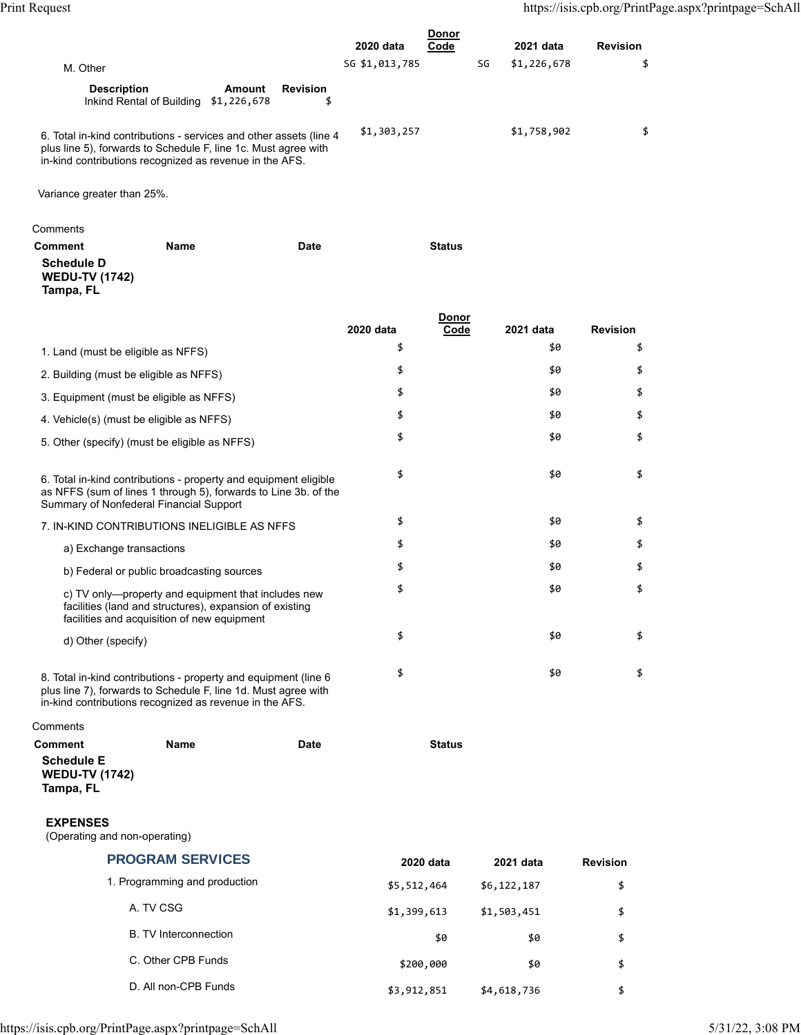|                                                                                                                                                                                                 |                | Donor |             |                 |
|-------------------------------------------------------------------------------------------------------------------------------------------------------------------------------------------------|----------------|-------|-------------|-----------------|
|                                                                                                                                                                                                 | 2020 data      | Code  | 2021 data   | <b>Revision</b> |
| M. Other                                                                                                                                                                                        | SG \$1,013,785 | SG    | \$1,226,678 |                 |
| <b>Description</b><br><b>Revision</b><br>Amount<br>Inkind Rental of Building \$1,226,678                                                                                                        |                |       |             |                 |
| 6. Total in-kind contributions - services and other assets (line 4<br>plus line 5), forwards to Schedule F, line 1c. Must agree with<br>in-kind contributions recognized as revenue in the AFS. | \$1,303,257    |       | \$1,758,902 |                 |

Variance greater than 25%.

| Comments                                                |             |             |               |  |
|---------------------------------------------------------|-------------|-------------|---------------|--|
| <b>Comment</b>                                          | <b>Name</b> | <b>Date</b> | <b>Status</b> |  |
| <b>Schedule D</b><br><b>WEDU-TV (1742)</b><br>Tampa, FL |             |             |               |  |
|                                                         |             |             | Donor         |  |

|                                                                                                                                                                                                           | 2020 data | Code | 2021 data | <b>Revision</b> |
|-----------------------------------------------------------------------------------------------------------------------------------------------------------------------------------------------------------|-----------|------|-----------|-----------------|
| 1. Land (must be eligible as NFFS)                                                                                                                                                                        | \$        |      | \$0       | \$              |
| 2. Building (must be eligible as NFFS)                                                                                                                                                                    | \$        |      | \$0       | \$              |
| 3. Equipment (must be eligible as NFFS)                                                                                                                                                                   | \$        |      | \$0       | \$              |
| 4. Vehicle(s) (must be eligible as NFFS)                                                                                                                                                                  | \$        |      | \$0       | \$              |
| 5. Other (specify) (must be eligible as NFFS)                                                                                                                                                             | \$        |      | \$0       | \$              |
| 6. Total in-kind contributions - property and equipment eligible<br>as NFFS (sum of lines 1 through 5), forwards to Line 3b. of the<br>Summary of Nonfederal Financial Support                            | \$        |      | \$0       | \$              |
| 7. IN-KIND CONTRIBUTIONS INELIGIBLE AS NFFS                                                                                                                                                               | \$        |      | \$0       | \$              |
| a) Exchange transactions                                                                                                                                                                                  | \$        |      | \$0       | \$              |
| b) Federal or public broadcasting sources                                                                                                                                                                 | \$        |      | \$0       | \$              |
| c) TV only-property and equipment that includes new<br>facilities (land and structures), expansion of existing<br>facilities and acquisition of new equipment                                             | \$        |      | \$0       | \$              |
| d) Other (specify)                                                                                                                                                                                        | \$        |      | \$0       | \$              |
| 8. Total in-kind contributions - property and equipment (line 6<br>plus line 7), forwards to Schedule F, line 1d. Must agree with<br>in Island no attailection or an operator of the processes in the AEO | \$        |      | \$0       | \$              |

in-kind contributions recognized as revenue in the AFS.

| Comments                                                |      |      |               |
|---------------------------------------------------------|------|------|---------------|
| Comment                                                 | Name | Date | <b>Status</b> |
| <b>Schedule E</b><br><b>WEDU-TV (1742)</b><br>Tampa, FL |      |      |               |

## **EXPENSES**

(Operating and non-operating)

| <b>PROGRAM SERVICES</b>       | 2020 data   | 2021 data   | <b>Revision</b> |
|-------------------------------|-------------|-------------|-----------------|
| 1. Programming and production | \$5,512,464 | \$6,122,187 | \$              |
| A. TV CSG                     | \$1,399,613 | \$1,503,451 | \$              |
| <b>B.</b> TV Interconnection  | \$0         | \$0         | \$              |
| C. Other CPB Funds            | \$200,000   | \$0         | \$              |
| D. All non-CPB Funds          | \$3,912,851 | \$4,618,736 | \$              |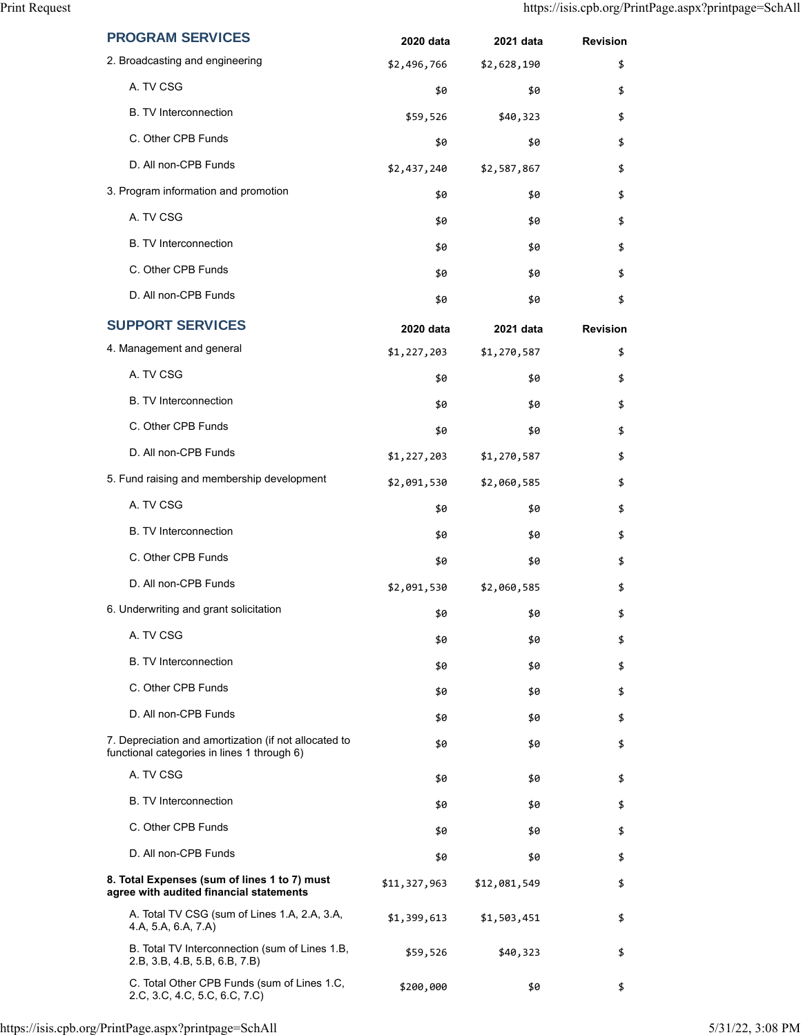| <b>PROGRAM SERVICES</b>                                                                              | 2020 data    | 2021 data    | <b>Revision</b> |
|------------------------------------------------------------------------------------------------------|--------------|--------------|-----------------|
| 2. Broadcasting and engineering                                                                      | \$2,496,766  | \$2,628,190  | \$              |
| A. TV CSG                                                                                            | \$0          | \$0          | \$              |
| <b>B.</b> TV Interconnection                                                                         | \$59,526     | \$40,323     | \$              |
| C. Other CPB Funds                                                                                   | \$0          | \$0          | \$              |
| D. All non-CPB Funds                                                                                 | \$2,437,240  | \$2,587,867  | \$              |
| 3. Program information and promotion                                                                 | \$0          | \$0          | \$              |
| A. TV CSG                                                                                            | \$0          | \$0          | \$              |
| <b>B.</b> TV Interconnection                                                                         | \$0          | \$0          | \$              |
| C. Other CPB Funds                                                                                   | \$0          | \$0          | \$              |
| D. All non-CPB Funds                                                                                 | \$0          | \$0          | \$              |
| <b>SUPPORT SERVICES</b>                                                                              | 2020 data    | 2021 data    | <b>Revision</b> |
| 4. Management and general                                                                            | \$1,227,203  | \$1,270,587  | \$              |
| A. TV CSG                                                                                            | \$0          | \$0          | \$              |
| <b>B.</b> TV Interconnection                                                                         | \$0          | \$0          | \$              |
| C. Other CPB Funds                                                                                   | \$0          | \$0          | \$              |
| D. All non-CPB Funds                                                                                 | \$1,227,203  | \$1,270,587  | \$              |
| 5. Fund raising and membership development                                                           | \$2,091,530  | \$2,060,585  | \$              |
| A. TV CSG                                                                                            | \$0          | \$0          | \$              |
| <b>B.</b> TV Interconnection                                                                         | \$0          | \$0          | \$              |
| C. Other CPB Funds                                                                                   | \$0          | \$0          | \$              |
| D. All non-CPB Funds                                                                                 | \$2,091,530  | \$2,060,585  | \$              |
| 6. Underwriting and grant solicitation                                                               | \$0          | \$0          | \$              |
| A. TV CSG                                                                                            | \$0          | \$0          | \$              |
| <b>B.</b> TV Interconnection                                                                         | \$0          | \$0          | \$              |
| C. Other CPB Funds                                                                                   | \$0          | \$0          | \$              |
| D. All non-CPB Funds                                                                                 | \$0          | \$0          | \$              |
| 7. Depreciation and amortization (if not allocated to<br>functional categories in lines 1 through 6) | \$0          | \$0          | \$              |
| A. TV CSG                                                                                            | \$0          | \$0          | \$              |
| <b>B.</b> TV Interconnection                                                                         | \$0          | \$0          | \$              |
| C. Other CPB Funds                                                                                   | \$0          | \$0          | \$              |
| D. All non-CPB Funds                                                                                 | \$0          | \$0          | \$              |
| 8. Total Expenses (sum of lines 1 to 7) must<br>agree with audited financial statements              | \$11,327,963 | \$12,081,549 | \$              |
| A. Total TV CSG (sum of Lines 1.A, 2.A, 3.A,<br>4.A, 5.A, 6.A, 7.A)                                  | \$1,399,613  | \$1,503,451  | \$              |
| B. Total TV Interconnection (sum of Lines 1.B,<br>2.B, 3.B, 4.B, 5.B, 6.B, 7.B)                      | \$59,526     | \$40,323     | \$              |
| C. Total Other CPB Funds (sum of Lines 1.C,<br>2.C, 3.C, 4.C, 5.C, 6.C, 7.C)                         | \$200,000    | \$0          | \$              |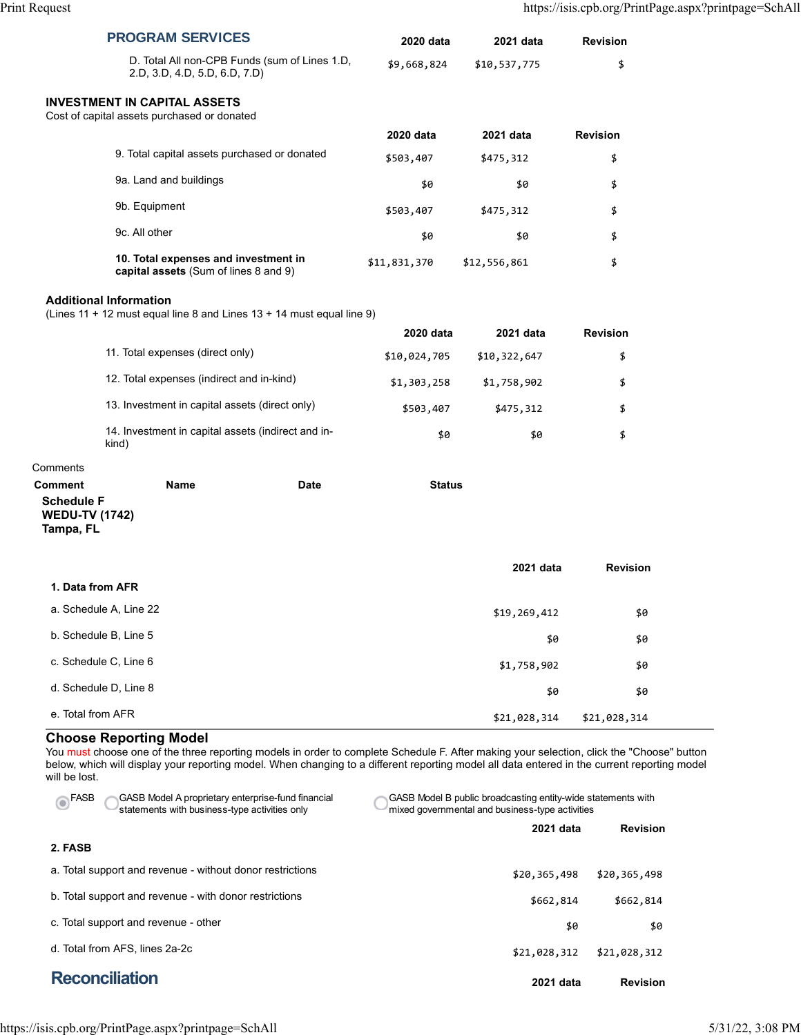|                                                                           | <b>PROGRAM SERVICES</b>                                                                                                                                                                                                                                                                                                    | 2020 data     | 2021 data                                                                                                       | <b>Revision</b> |
|---------------------------------------------------------------------------|----------------------------------------------------------------------------------------------------------------------------------------------------------------------------------------------------------------------------------------------------------------------------------------------------------------------------|---------------|-----------------------------------------------------------------------------------------------------------------|-----------------|
|                                                                           | D. Total All non-CPB Funds (sum of Lines 1.D,<br>2.D, 3.D, 4.D, 5.D, 6.D, 7.D)                                                                                                                                                                                                                                             | \$9,668,824   | \$10,537,775                                                                                                    | \$              |
|                                                                           | <b>INVESTMENT IN CAPITAL ASSETS</b><br>Cost of capital assets purchased or donated                                                                                                                                                                                                                                         |               |                                                                                                                 |                 |
|                                                                           |                                                                                                                                                                                                                                                                                                                            | 2020 data     | 2021 data                                                                                                       | <b>Revision</b> |
|                                                                           | 9. Total capital assets purchased or donated                                                                                                                                                                                                                                                                               | \$503,407     | \$475,312                                                                                                       | \$              |
|                                                                           | 9a. Land and buildings                                                                                                                                                                                                                                                                                                     | \$0           | \$0                                                                                                             | \$              |
|                                                                           | 9b. Equipment                                                                                                                                                                                                                                                                                                              | \$503,407     | \$475,312                                                                                                       | \$              |
|                                                                           | 9c. All other                                                                                                                                                                                                                                                                                                              | \$0           | \$0                                                                                                             | \$              |
|                                                                           | 10. Total expenses and investment in<br>capital assets (Sum of lines 8 and 9)                                                                                                                                                                                                                                              | \$11,831,370  | \$12,556,861                                                                                                    | \$              |
|                                                                           | <b>Additional Information</b><br>(Lines 11 + 12 must equal line 8 and Lines $13 + 14$ must equal line 9)                                                                                                                                                                                                                   |               |                                                                                                                 |                 |
|                                                                           |                                                                                                                                                                                                                                                                                                                            | 2020 data     | 2021 data                                                                                                       | <b>Revision</b> |
|                                                                           | 11. Total expenses (direct only)                                                                                                                                                                                                                                                                                           | \$10,024,705  | \$10,322,647                                                                                                    | \$              |
|                                                                           | 12. Total expenses (indirect and in-kind)                                                                                                                                                                                                                                                                                  | \$1,303,258   | \$1,758,902                                                                                                     | \$              |
|                                                                           | 13. Investment in capital assets (direct only)                                                                                                                                                                                                                                                                             | \$503,407     | \$475,312                                                                                                       | \$              |
|                                                                           | 14. Investment in capital assets (indirect and in-<br>kind)                                                                                                                                                                                                                                                                | \$0           | \$0                                                                                                             | \$              |
| Comments                                                                  |                                                                                                                                                                                                                                                                                                                            |               |                                                                                                                 |                 |
| <b>Comment</b><br><b>Schedule F</b><br><b>WEDU-TV (1742)</b><br>Tampa, FL | <b>Name</b><br><b>Date</b>                                                                                                                                                                                                                                                                                                 | <b>Status</b> |                                                                                                                 |                 |
|                                                                           |                                                                                                                                                                                                                                                                                                                            |               | 2021 data                                                                                                       | <b>Revision</b> |
| 1. Data from AFR                                                          |                                                                                                                                                                                                                                                                                                                            |               |                                                                                                                 |                 |
|                                                                           | a. Schedule A, Line 22                                                                                                                                                                                                                                                                                                     |               | \$19,269,412                                                                                                    | \$0             |
|                                                                           | b. Schedule B, Line 5                                                                                                                                                                                                                                                                                                      |               | \$0                                                                                                             | \$0             |
|                                                                           | c. Schedule C, Line 6                                                                                                                                                                                                                                                                                                      |               | \$1,758,902                                                                                                     | \$0             |
|                                                                           | d. Schedule D, Line 8                                                                                                                                                                                                                                                                                                      |               | \$0                                                                                                             | \$0             |
| e. Total from AFR                                                         |                                                                                                                                                                                                                                                                                                                            |               | \$21,028,314                                                                                                    | \$21,028,314    |
| will be lost.                                                             | <b>Choose Reporting Model</b><br>You must choose one of the three reporting models in order to complete Schedule F. After making your selection, click the "Choose" button<br>below, which will display your reporting model. When changing to a different reporting model all data entered in the current reporting model |               |                                                                                                                 |                 |
| <b>FASB</b>                                                               | GASB Model A proprietary enterprise-fund financial<br>statements with business-type activities only                                                                                                                                                                                                                        |               | GASB Model B public broadcasting entity-wide statements with<br>mixed governmental and business-type activities |                 |
| 2. FASB                                                                   |                                                                                                                                                                                                                                                                                                                            |               | 2021 data                                                                                                       | <b>Revision</b> |
|                                                                           |                                                                                                                                                                                                                                                                                                                            |               |                                                                                                                 |                 |

| <b>Reconciliation</b>                                     | 2021 data    | <b>Revision</b> |
|-----------------------------------------------------------|--------------|-----------------|
| d. Total from AFS, lines 2a-2c                            | \$21,028,312 | \$21,028,312    |
| c. Total support and revenue - other                      | \$0          | \$0             |
| b. Total support and revenue - with donor restrictions    | \$662,814    | \$662,814       |
| a. Total support and revenue - without donor restrictions | \$20,365,498 | \$20,365,498    |